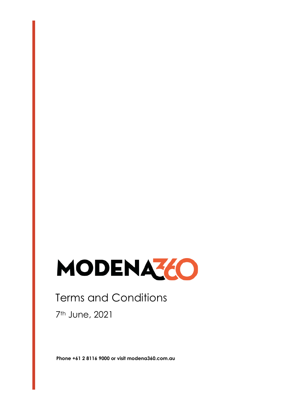

# Terms and Conditions

7th June, 2021

**Phone +61 2 8116 9000 or visit modena360.com.au**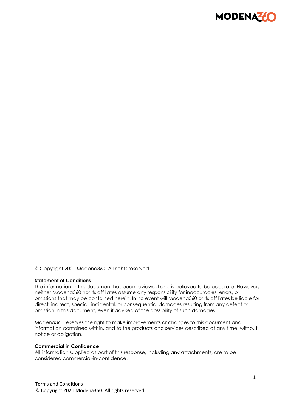

© Copyright 2021 Modena360. All rights reserved.

#### **Statement of Conditions**

The information in this document has been reviewed and is believed to be accurate. However, neither Modena360 nor its affiliates assume any responsibility for inaccuracies, errors, or omissions that may be contained herein. In no event will Modena360 or its affiliates be liable for direct, indirect, special, incidental, or consequential damages resulting from any defect or omission in this document, even if advised of the possibility of such damages.

Modena360 reserves the right to make improvements or changes to this document and information contained within, and to the products and services described at any time, without notice or obligation.

#### **Commercial in Confidence**

All information supplied as part of this response, including any attachments, are to be considered commercial-in-confidence.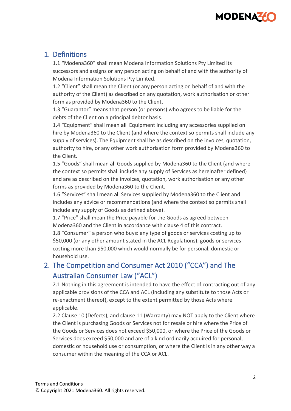# **MODENA**

# 1. Definitions

1.1 "Modena360" shall mean Modena Information Solutions Pty Limited its successors and assigns or any person acting on behalf of and with the authority of Modena Information Solutions Pty Limited.

1.2 "Client" shall mean the Client (or any person acting on behalf of and with the authority of the Client) as described on any quotation, work authorisation or other form as provided by Modena360 to the Client.

1.3 "Guarantor" means that person (or persons) who agrees to be liable for the debts of the Client on a principal debtor basis.

1.4 "Equipment" shall mean all Equipment including any accessories supplied on hire by Modena360 to the Client (and where the context so permits shall include any supply of services). The Equipment shall be as described on the invoices, quotation, authority to hire, or any other work authorisation form provided by Modena360 to the Client.

1.5 "Goods" shall mean all Goods supplied by Modena360 to the Client (and where the context so permits shall include any supply of Services as hereinafter defined) and are as described on the invoices, quotation, work authorisation or any other forms as provided by Modena360 to the Client.

1.6 "Services" shall mean all Services supplied by Modena360 to the Client and includes any advice or recommendations (and where the context so permits shall include any supply of Goods as defined above).

1.7 "Price" shall mean the Price payable for the Goods as agreed between Modena360 and the Client in accordance with clause 4 of this contract.

1.8 "Consumer" a person who buys: any type of goods or services costing up to \$50,000 (or any other amount stated in the ACL Regulations); goods or services costing more than \$50,000 which would normally be for personal, domestic or household use.

# 2. The Competition and Consumer Act 2010 ("CCA") and The Australian Consumer Law ("ACL")

2.1 Nothing in this agreement is intended to have the effect of contracting out of any applicable provisions of the CCA and ACL (including any substitute to those Acts or re-enactment thereof), except to the extent permitted by those Acts where applicable.

2.2 Clause 10 (Defects), and clause 11 (Warranty) may NOT apply to the Client where the Client is purchasing Goods or Services not for resale or hire where the Price of the Goods or Services does not exceed \$50,000, or where the Price of the Goods or Services does exceed \$50,000 and are of a kind ordinarily acquired for personal, domestic or household use or consumption, or where the Client is in any other way a consumer within the meaning of the CCA or ACL.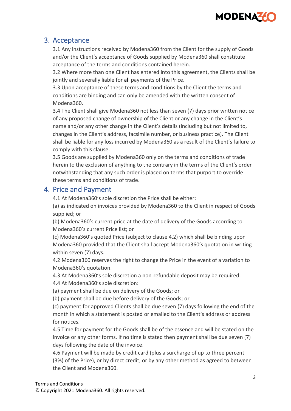

### 3. Acceptance

3.1 Any instructions received by Modena360 from the Client for the supply of Goods and/or the Client's acceptance of Goods supplied by Modena360 shall constitute acceptance of the terms and conditions contained herein.

3.2 Where more than one Client has entered into this agreement, the Clients shall be jointly and severally liable for all payments of the Price.

3.3 Upon acceptance of these terms and conditions by the Client the terms and conditions are binding and can only be amended with the written consent of Modena360.

3.4 The Client shall give Modena360 not less than seven (7) days prior written notice of any proposed change of ownership of the Client or any change in the Client's name and/or any other change in the Client's details (including but not limited to, changes in the Client's address, facsimile number, or business practice). The Client shall be liable for any loss incurred by Modena360 as a result of the Client's failure to comply with this clause.

3.5 Goods are supplied by Modena360 only on the terms and conditions of trade herein to the exclusion of anything to the contrary in the terms of the Client's order notwithstanding that any such order is placed on terms that purport to override these terms and conditions of trade.

### 4. Price and Payment

4.1 At Modena360's sole discretion the Price shall be either:

(a) as indicated on invoices provided by Modena360 to the Client in respect of Goods supplied; or

(b) Modena360's current price at the date of delivery of the Goods according to Modena360's current Price list; or

(c) Modena360's quoted Price (subject to clause 4.2) which shall be binding upon Modena360 provided that the Client shall accept Modena360's quotation in writing within seven (7) days.

4.2 Modena360 reserves the right to change the Price in the event of a variation to Modena360's quotation.

4.3 At Modena360's sole discretion a non-refundable deposit may be required.

4.4 At Modena360's sole discretion:

(a) payment shall be due on delivery of the Goods; or

(b) payment shall be due before delivery of the Goods; or

(c) payment for approved Clients shall be due seven (7) days following the end of the month in which a statement is posted or emailed to the Client's address or address for notices.

4.5 Time for payment for the Goods shall be of the essence and will be stated on the invoice or any other forms. If no time is stated then payment shall be due seven (7) days following the date of the invoice.

4.6 Payment will be made by credit card (plus a surcharge of up to three percent (3%) of the Price), or by direct credit, or by any other method as agreed to between the Client and Modena360.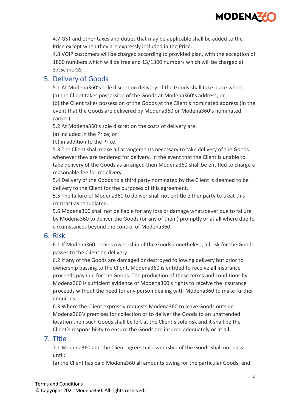

4.7 GST and other taxes and duties that may be applicable shall be added to the Price except when they are expressly included in the Price.

4.8 VOIP customers will be charged according to provided plan, with the exception of 1800 numbers which will be free and 13/1300 numbers which will be charged at 37.5c inc GST.

## 5. Delivery of Goods

5.1 At Modena360's sole discretion delivery of the Goods shall take place when:

(a) the Client takes possession of the Goods at Modena360's address; or

(b) the Client takes possession of the Goods at the Client's nominated address (in the event that the Goods are delivered by Modena360 or Modena360's nominated carrier).

5.2 At Modena360's sole discretion the costs of delivery are:

(a) included in the Price; or

(b) in addition to the Price.

5.3 The Client shall make all arrangements necessary to take delivery of the Goods whenever they are tendered for delivery. In the event that the Client is unable to take delivery of the Goods as arranged then Modena360 shall be entitled to charge a reasonable fee for redelivery.

5.4 Delivery of the Goods to a third party nominated by the Client is deemed to be delivery to the Client for the purposes of this agreement.

5.5 The failure of Modena360 to deliver shall not entitle either party to treat this contract as repudiated.

5.6 Modena360 shall not be liable for any loss or damage whatsoever due to failure by Modena360 to deliver the Goods (or any of them) promptly or at all where due to circumstances beyond the control of Modena360.

# 6. Risk

6.1 If Modena360 retains ownership of the Goods nonetheless, all risk for the Goods passes to the Client on delivery.

6.2 If any of the Goods are damaged or destroyed following delivery but prior to ownership passing to the Client, Modena360 is entitled to receive all insurance proceeds payable for the Goods. The production of these terms and conditions by Modena360 is sufficient evidence of Modena360's rights to receive the insurance proceeds without the need for any person dealing with Modena360 to make further enquiries.

6.3 Where the Client expressly requests Modena360 to leave Goods outside Modena360's premises for collection or to deliver the Goods to an unattended location then such Goods shall be left at the Client's sole risk and it shall be the Client's responsibility to ensure the Goods are insured adequately or at all.

### 7. Title

7.1 Modena360 and the Client agree that ownership of the Goods shall not pass until:

(a) the Client has paid Modena360 all amounts owing for the particular Goods; and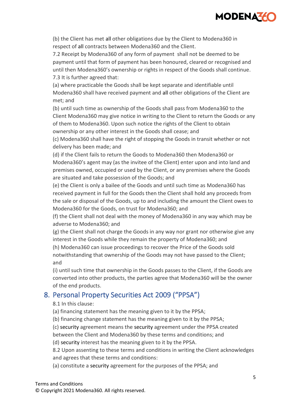

(b) the Client has met all other obligations due by the Client to Modena360 in respect of all contracts between Modena360 and the Client.

7.2 Receipt by Modena360 of any form of payment shall not be deemed to be payment until that form of payment has been honoured, cleared or recognised and until then Modena360's ownership or rights in respect of the Goods shall continue. 7.3 It is further agreed that:

(a) where practicable the Goods shall be kept separate and identifiable until Modena360 shall have received payment and all other obligations of the Client are met; and

(b) until such time as ownership of the Goods shall pass from Modena360 to the Client Modena360 may give notice in writing to the Client to return the Goods or any of them to Modena360. Upon such notice the rights of the Client to obtain ownership or any other interest in the Goods shall cease; and

(c) Modena360 shall have the right of stopping the Goods in transit whether or not delivery has been made; and

(d) if the Client fails to return the Goods to Modena360 then Modena360 or Modena360's agent may (as the invitee of the Client) enter upon and into land and premises owned, occupied or used by the Client, or any premises where the Goods are situated and take possession of the Goods; and

(e) the Client is only a bailee of the Goods and until such time as Modena360 has received payment in full for the Goods then the Client shall hold any proceeds from the sale or disposal of the Goods, up to and including the amount the Client owes to Modena360 for the Goods, on trust for Modena360; and

(f) the Client shall not deal with the money of Modena360 in any way which may be adverse to Modena360; and

(g) the Client shall not charge the Goods in any way nor grant nor otherwise give any interest in the Goods while they remain the property of Modena360; and

(h) Modena360 can issue proceedings to recover the Price of the Goods sold notwithstanding that ownership of the Goods may not have passed to the Client; and

(i) until such time that ownership in the Goods passes to the Client, if the Goods are converted into other products, the parties agree that Modena360 will be the owner of the end products.

# 8. Personal Property Securities Act 2009 ("PPSA")

#### 8.1 In this clause:

(a) financing statement has the meaning given to it by the PPSA;

(b) financing change statement has the meaning given to it by the PPSA;

(c) security agreement means the security agreement under the PPSA created

between the Client and Modena360 by these terms and conditions; and

(d) security interest has the meaning given to it by the PPSA.

8.2 Upon assenting to these terms and conditions in writing the Client acknowledges and agrees that these terms and conditions:

(a) constitute a security agreement for the purposes of the PPSA; and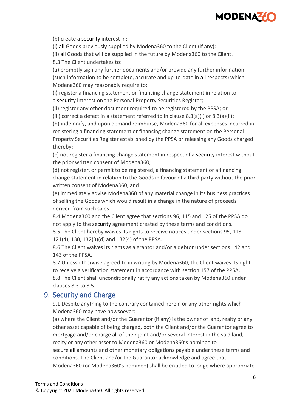

(b) create a security interest in:

(i) all Goods previously supplied by Modena360 to the Client (if any);

(ii) all Goods that will be supplied in the future by Modena360 to the Client.

8.3 The Client undertakes to:

(a) promptly sign any further documents and/or provide any further information (such information to be complete, accurate and up-to-date in all respects) which Modena360 may reasonably require to:

(i) register a financing statement or financing change statement in relation to a security interest on the Personal Property Securities Register;

(ii) register any other document required to be registered by the PPSA; or

(iii) correct a defect in a statement referred to in clause  $8.3(a)(i)$  or  $8.3(a)(ii)$ ;

(b) indemnify, and upon demand reimburse, Modena360 for all expenses incurred in registering a financing statement or financing change statement on the Personal Property Securities Register established by the PPSA or releasing any Goods charged thereby;

(c) not register a financing change statement in respect of a security interest without the prior written consent of Modena360;

(d) not register, or permit to be registered, a financing statement or a financing change statement in relation to the Goods in favour of a third party without the prior written consent of Modena360; and

(e) immediately advise Modena360 of any material change in its business practices of selling the Goods which would result in a change in the nature of proceeds derived from such sales.

8.4 Modena360 and the Client agree that sections 96, 115 and 125 of the PPSA do not apply to the security agreement created by these terms and conditions.

8.5 The Client hereby waives its rights to receive notices under sections 95, 118, 121(4), 130, 132(3)(d) and 132(4) of the PPSA.

8.6 The Client waives its rights as a grantor and/or a debtor under sections 142 and 143 of the PPSA.

8.7 Unless otherwise agreed to in writing by Modena360, the Client waives its right to receive a verification statement in accordance with section 157 of the PPSA. 8.8 The Client shall unconditionally ratify any actions taken by Modena360 under clauses 8.3 to 8.5.

### 9. Security and Charge

9.1 Despite anything to the contrary contained herein or any other rights which Modena360 may have howsoever:

(a) where the Client and/or the Guarantor (if any) is the owner of land, realty or any other asset capable of being charged, both the Client and/or the Guarantor agree to mortgage and/or charge all of their joint and/or several interest in the said land, realty or any other asset to Modena360 or Modena360's nominee to secure all amounts and other monetary obligations payable under these terms and conditions. The Client and/or the Guarantor acknowledge and agree that Modena360 (or Modena360's nominee) shall be entitled to lodge where appropriate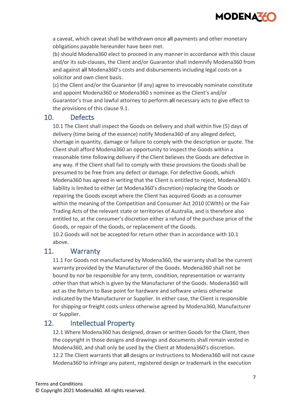

a caveat, which caveat shall be withdrawn once all payments and other monetary obligations payable hereunder have been met.

(b) should Modena360 elect to proceed in any manner in accordance with this clause and/or its sub-clauses, the Client and/or Guarantor shall indemnify Modena360 from and against all Modena360's costs and disbursements including legal costs on a solicitor and own client basis.

(c) the Client and/or the Guarantor (if any) agree to irrevocably nominate constitute and appoint Modena360 or Modena360 s nominee as the Client's and/or Guarantor's true and lawful attorney to perform all necessary acts to give effect to the provisions of this clause 9.1.

### 10. Defects

10.1 The Client shall inspect the Goods on delivery and shall within five (5) days of delivery (time being of the essence) notify Modena360 of any alleged defect, shortage in quantity, damage or failure to comply with the description or quote. The Client shall afford Modena360 an opportunity to inspect the Goods within a reasonable time following delivery if the Client believes the Goods are defective in any way. If the Client shall fail to comply with these provisions the Goods shall be presumed to be free from any defect or damage. For defective Goods, which Modena360 has agreed in writing that the Client is entitled to reject, Modena360's liability is limited to either (at Modena360's discretion) replacing the Goods or repairing the Goods except where the Client has acquired Goods as a consumer within the meaning of the Competition and Consumer Act 2010 (CWlth) or the Fair Trading Acts of the relevant state or territories of Australia, and is therefore also entitled to, at the consumer's discretion either a refund of the purchase price of the Goods, or repair of the Goods, or replacement of the Goods.

10.2 Goods will not be accepted for return other than in accordance with 10.1 above.

### 11. Warranty

11.1 For Goods not manufactured by Modena360, the warranty shall be the current warranty provided by the Manufacturer of the Goods. Modena360 shall not be bound by nor be responsible for any term, condition, representation or warranty other than that which is given by the Manufacturer of the Goods. Modena360 will act as the Return to Base point for hardware and software unless otherwise indicated by the Manufacturer or Supplier. In either case, the Client is responsible for shipping or freight costs unless otherwise agreed by Modena360, Manufacturer or Supplier.

# 12. Intellectual Property

12.1 Where Modena360 has designed, drawn or written Goods for the Client, then the copyright in those designs and drawings and documents shall remain vested in Modena360, and shall only be used by the Client at Modena360's discretion. 12.2 The Client warrants that all designs or instructions to Modena360 will not cause Modena360 to infringe any patent, registered design or trademark in the execution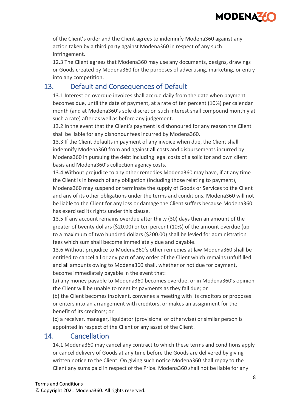

of the Client's order and the Client agrees to indemnify Modena360 against any action taken by a third party against Modena360 in respect of any such infringement.

12.3 The Client agrees that Modena360 may use any documents, designs, drawings or Goods created by Modena360 for the purposes of advertising, marketing, or entry into any competition.

# 13. Default and Consequences of Default

13.1 Interest on overdue invoices shall accrue daily from the date when payment becomes due, until the date of payment, at a rate of ten percent (10%) per calendar month (and at Modena360's sole discretion such interest shall compound monthly at such a rate) after as well as before any judgement.

13.2 In the event that the Client's payment is dishonoured for any reason the Client shall be liable for any dishonour fees incurred by Modena360.

13.3 If the Client defaults in payment of any invoice when due, the Client shall indemnify Modena360 from and against all costs and disbursements incurred by Modena360 in pursuing the debt including legal costs of a solicitor and own client basis and Modena360's collection agency costs.

13.4 Without prejudice to any other remedies Modena360 may have, if at any time the Client is in breach of any obligation (including those relating to payment), Modena360 may suspend or terminate the supply of Goods or Services to the Client and any of its other obligations under the terms and conditions. Modena360 will not be liable to the Client for any loss or damage the Client suffers because Modena360 has exercised its rights under this clause.

13.5 If any account remains overdue after thirty (30) days then an amount of the greater of twenty dollars (\$20.00) or ten percent (10%) of the amount overdue (up to a maximum of two hundred dollars (\$200.00) shall be levied for administration fees which sum shall become immediately due and payable.

13.6 Without prejudice to Modena360's other remedies at law Modena360 shall be entitled to cancel all or any part of any order of the Client which remains unfulfilled and all amounts owing to Modena360 shall, whether or not due for payment, become immediately payable in the event that:

(a) any money payable to Modena360 becomes overdue, or in Modena360's opinion the Client will be unable to meet its payments as they fall due; or

(b) the Client becomes insolvent, convenes a meeting with its creditors or proposes or enters into an arrangement with creditors, or makes an assignment for the benefit of its creditors; or

(c) a receiver, manager, liquidator (provisional or otherwise) or similar person is appointed in respect of the Client or any asset of the Client.

### 14. Cancellation

14.1 Modena360 may cancel any contract to which these terms and conditions apply or cancel delivery of Goods at any time before the Goods are delivered by giving written notice to the Client. On giving such notice Modena360 shall repay to the Client any sums paid in respect of the Price. Modena360 shall not be liable for any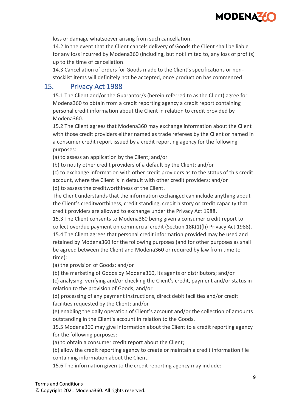

loss or damage whatsoever arising from such cancellation.

14.2 In the event that the Client cancels delivery of Goods the Client shall be liable for any loss incurred by Modena360 (including, but not limited to, any loss of profits) up to the time of cancellation.

14.3 Cancellation of orders for Goods made to the Client's specifications or nonstocklist items will definitely not be accepted, once production has commenced.

### 15. Privacy Act 1988

15.1 The Client and/or the Guarantor/s (herein referred to as the Client) agree for Modena360 to obtain from a credit reporting agency a credit report containing personal credit information about the Client in relation to credit provided by Modena360.

15.2 The Client agrees that Modena360 may exchange information about the Client with those credit providers either named as trade referees by the Client or named in a consumer credit report issued by a credit reporting agency for the following purposes:

(a) to assess an application by the Client; and/or

(b) to notify other credit providers of a default by the Client; and/or

(c) to exchange information with other credit providers as to the status of this credit account, where the Client is in default with other credit providers; and/or (d) to assess the creditworthiness of the Client.

The Client understands that the information exchanged can include anything about the Client's creditworthiness, credit standing, credit history or credit capacity that credit providers are allowed to exchange under the Privacy Act 1988.

15.3 The Client consents to Modena360 being given a consumer credit report to collect overdue payment on commercial credit (Section 18K(1)(h) Privacy Act 1988). 15.4 The Client agrees that personal credit information provided may be used and retained by Modena360 for the following purposes (and for other purposes as shall be agreed between the Client and Modena360 or required by law from time to time):

(a) the provision of Goods; and/or

(b) the marketing of Goods by Modena360, its agents or distributors; and/or

(c) analysing, verifying and/or checking the Client's credit, payment and/or status in relation to the provision of Goods; and/or

(d) processing of any payment instructions, direct debit facilities and/or credit facilities requested by the Client; and/or

(e) enabling the daily operation of Client's account and/or the collection of amounts outstanding in the Client's account in relation to the Goods.

15.5 Modena360 may give information about the Client to a credit reporting agency for the following purposes:

(a) to obtain a consumer credit report about the Client;

(b) allow the credit reporting agency to create or maintain a credit information file containing information about the Client.

15.6 The information given to the credit reporting agency may include: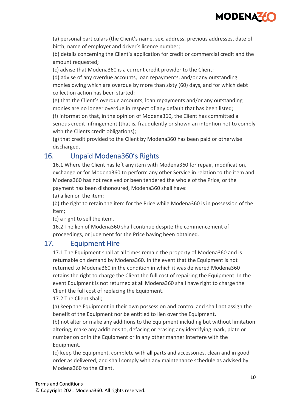

(a) personal particulars (the Client's name, sex, address, previous addresses, date of birth, name of employer and driver's licence number;

(b) details concerning the Client's application for credit or commercial credit and the amount requested;

(c) advise that Modena360 is a current credit provider to the Client;

(d) advise of any overdue accounts, loan repayments, and/or any outstanding monies owing which are overdue by more than sixty (60) days, and for which debt collection action has been started;

(e) that the Client's overdue accounts, loan repayments and/or any outstanding monies are no longer overdue in respect of any default that has been listed; (f) information that, in the opinion of Modena360, the Client has committed a serious credit infringement (that is, fraudulently or shown an intention not to comply with the Clients credit obligations);

(g) that credit provided to the Client by Modena360 has been paid or otherwise discharged.

# 16. Unpaid Modena360's Rights

16.1 Where the Client has left any item with Modena360 for repair, modification, exchange or for Modena360 to perform any other Service in relation to the item and Modena360 has not received or been tendered the whole of the Price, or the payment has been dishonoured, Modena360 shall have:

(a) a lien on the item;

(b) the right to retain the item for the Price while Modena360 is in possession of the item;

(c) a right to sell the item.

16.2 The lien of Modena360 shall continue despite the commencement of proceedings, or judgment for the Price having been obtained.

# 17. Equipment Hire

17.1 The Equipment shall at all times remain the property of Modena360 and is returnable on demand by Modena360. In the event that the Equipment is not returned to Modena360 in the condition in which it was delivered Modena360 retains the right to charge the Client the full cost of repairing the Equipment. In the event Equipment is not returned at all Modena360 shall have right to charge the Client the full cost of replacing the Equipment.

17.2 The Client shall;

(a) keep the Equipment in their own possession and control and shall not assign the benefit of the Equipment nor be entitled to lien over the Equipment.

(b) not alter or make any additions to the Equipment including but without limitation altering, make any additions to, defacing or erasing any identifying mark, plate or number on or in the Equipment or in any other manner interfere with the Equipment.

(c) keep the Equipment, complete with all parts and accessories, clean and in good order as delivered, and shall comply with any maintenance schedule as advised by Modena360 to the Client.